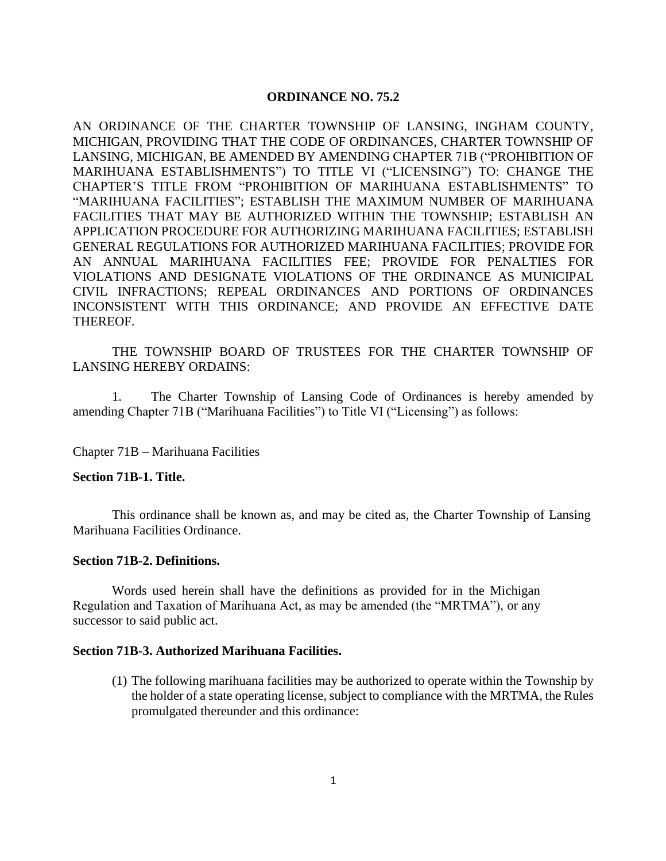## **ORDINANCE NO. 75.2**

AN ORDINANCE OF THE CHARTER TOWNSHIP OF LANSING, INGHAM COUNTY, MICHIGAN, PROVIDING THAT THE CODE OF ORDINANCES, CHARTER TOWNSHIP OF LANSING, MICHIGAN, BE AMENDED BY AMENDING CHAPTER 71B ("PROHIBITION OF MARIHUANA ESTABLISHMENTS") TO TITLE VI ("LICENSING") TO: CHANGE THE CHAPTER'S TITLE FROM "PROHIBITION OF MARIHUANA ESTABLISHMENTS" TO "MARIHUANA FACILITIES"; ESTABLISH THE MAXIMUM NUMBER OF MARIHUANA FACILITIES THAT MAY BE AUTHORIZED WITHIN THE TOWNSHIP; ESTABLISH AN APPLICATION PROCEDURE FOR AUTHORIZING MARIHUANA FACILITIES; ESTABLISH GENERAL REGULATIONS FOR AUTHORIZED MARIHUANA FACILITIES; PROVIDE FOR AN ANNUAL MARIHUANA FACILITIES FEE; PROVIDE FOR PENALTIES FOR VIOLATIONS AND DESIGNATE VIOLATIONS OF THE ORDINANCE AS MUNICIPAL CIVIL INFRACTIONS; REPEAL ORDINANCES AND PORTIONS OF ORDINANCES INCONSISTENT WITH THIS ORDINANCE; AND PROVIDE AN EFFECTIVE DATE THEREOF.

# THE TOWNSHIP BOARD OF TRUSTEES FOR THE CHARTER TOWNSHIP OF LANSING HEREBY ORDAINS:

1. The Charter Township of Lansing Code of Ordinances is hereby amended by amending Chapter 71B ("Marihuana Facilities") to Title VI ("Licensing") as follows:

Chapter 71B – Marihuana Facilities

### **Section 71B-1. Title.**

This ordinance shall be known as, and may be cited as, the Charter Township of Lansing Marihuana Facilities Ordinance.

#### **Section 71B-2. Definitions.**

Words used herein shall have the definitions as provided for in the Michigan Regulation and Taxation of Marihuana Act, as may be amended (the "MRTMA"), or any successor to said public act.

### **Section 71B-3. Authorized Marihuana Facilities.**

(1) The following marihuana facilities may be authorized to operate within the Township by the holder of a state operating license, subject to compliance with the MRTMA, the Rules promulgated thereunder and this ordinance: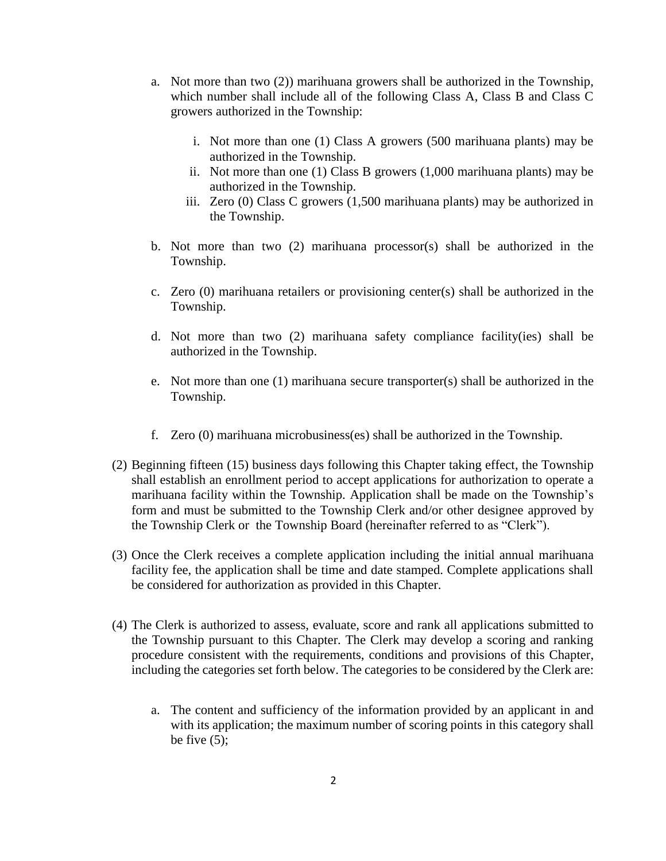- a. Not more than two (2)) marihuana growers shall be authorized in the Township, which number shall include all of the following Class A, Class B and Class C growers authorized in the Township:
	- i. Not more than one (1) Class A growers (500 marihuana plants) may be authorized in the Township.
	- ii. Not more than one (1) Class B growers (1,000 marihuana plants) may be authorized in the Township.
	- iii. Zero (0) Class C growers (1,500 marihuana plants) may be authorized in the Township.
- b. Not more than two  $(2)$  marihuana processor(s) shall be authorized in the Township.
- c. Zero (0) marihuana retailers or provisioning center(s) shall be authorized in the Township.
- d. Not more than two (2) marihuana safety compliance facility(ies) shall be authorized in the Township.
- e. Not more than one (1) marihuana secure transporter(s) shall be authorized in the Township.
- f. Zero (0) marihuana microbusiness(es) shall be authorized in the Township.
- (2) Beginning fifteen (15) business days following this Chapter taking effect, the Township shall establish an enrollment period to accept applications for authorization to operate a marihuana facility within the Township. Application shall be made on the Township's form and must be submitted to the Township Clerk and/or other designee approved by the Township Clerk or the Township Board (hereinafter referred to as "Clerk").
- (3) Once the Clerk receives a complete application including the initial annual marihuana facility fee, the application shall be time and date stamped. Complete applications shall be considered for authorization as provided in this Chapter.
- (4) The Clerk is authorized to assess, evaluate, score and rank all applications submitted to the Township pursuant to this Chapter. The Clerk may develop a scoring and ranking procedure consistent with the requirements, conditions and provisions of this Chapter, including the categories set forth below. The categories to be considered by the Clerk are:
	- a. The content and sufficiency of the information provided by an applicant in and with its application; the maximum number of scoring points in this category shall be five  $(5)$ ;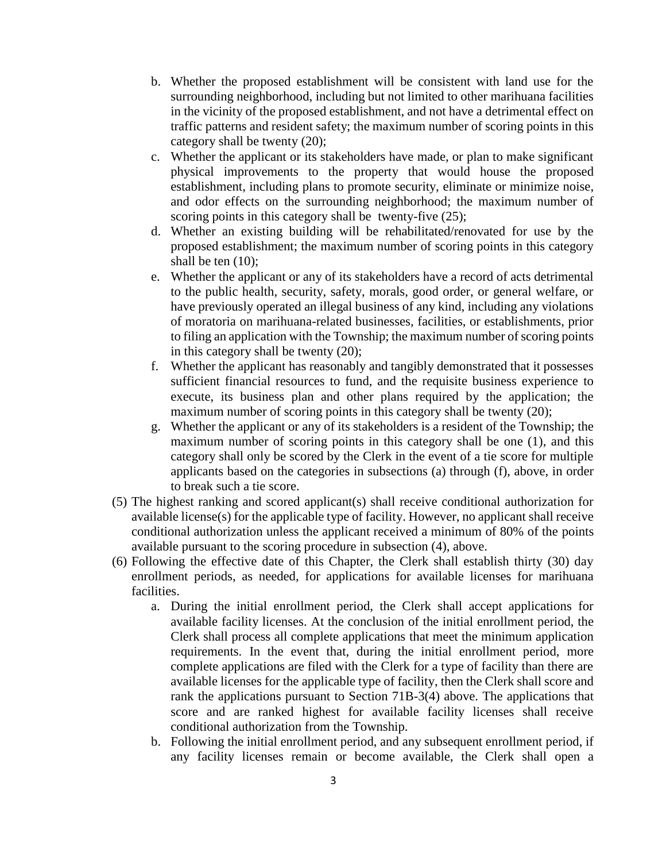- b. Whether the proposed establishment will be consistent with land use for the surrounding neighborhood, including but not limited to other marihuana facilities in the vicinity of the proposed establishment, and not have a detrimental effect on traffic patterns and resident safety; the maximum number of scoring points in this category shall be twenty (20);
- c. Whether the applicant or its stakeholders have made, or plan to make significant physical improvements to the property that would house the proposed establishment, including plans to promote security, eliminate or minimize noise, and odor effects on the surrounding neighborhood; the maximum number of scoring points in this category shall be twenty-five  $(25)$ ;
- d. Whether an existing building will be rehabilitated/renovated for use by the proposed establishment; the maximum number of scoring points in this category shall be ten  $(10)$ ;
- e. Whether the applicant or any of its stakeholders have a record of acts detrimental to the public health, security, safety, morals, good order, or general welfare, or have previously operated an illegal business of any kind, including any violations of moratoria on marihuana-related businesses, facilities, or establishments, prior to filing an application with the Township; the maximum number of scoring points in this category shall be twenty (20);
- f. Whether the applicant has reasonably and tangibly demonstrated that it possesses sufficient financial resources to fund, and the requisite business experience to execute, its business plan and other plans required by the application; the maximum number of scoring points in this category shall be twenty (20);
- g. Whether the applicant or any of its stakeholders is a resident of the Township; the maximum number of scoring points in this category shall be one (1), and this category shall only be scored by the Clerk in the event of a tie score for multiple applicants based on the categories in subsections (a) through (f), above, in order to break such a tie score.
- (5) The highest ranking and scored applicant(s) shall receive conditional authorization for available license(s) for the applicable type of facility. However, no applicant shall receive conditional authorization unless the applicant received a minimum of 80% of the points available pursuant to the scoring procedure in subsection (4), above.
- (6) Following the effective date of this Chapter, the Clerk shall establish thirty (30) day enrollment periods, as needed, for applications for available licenses for marihuana facilities.
	- a. During the initial enrollment period, the Clerk shall accept applications for available facility licenses. At the conclusion of the initial enrollment period, the Clerk shall process all complete applications that meet the minimum application requirements. In the event that, during the initial enrollment period, more complete applications are filed with the Clerk for a type of facility than there are available licenses for the applicable type of facility, then the Clerk shall score and rank the applications pursuant to Section 71B-3(4) above. The applications that score and are ranked highest for available facility licenses shall receive conditional authorization from the Township.
	- b. Following the initial enrollment period, and any subsequent enrollment period, if any facility licenses remain or become available, the Clerk shall open a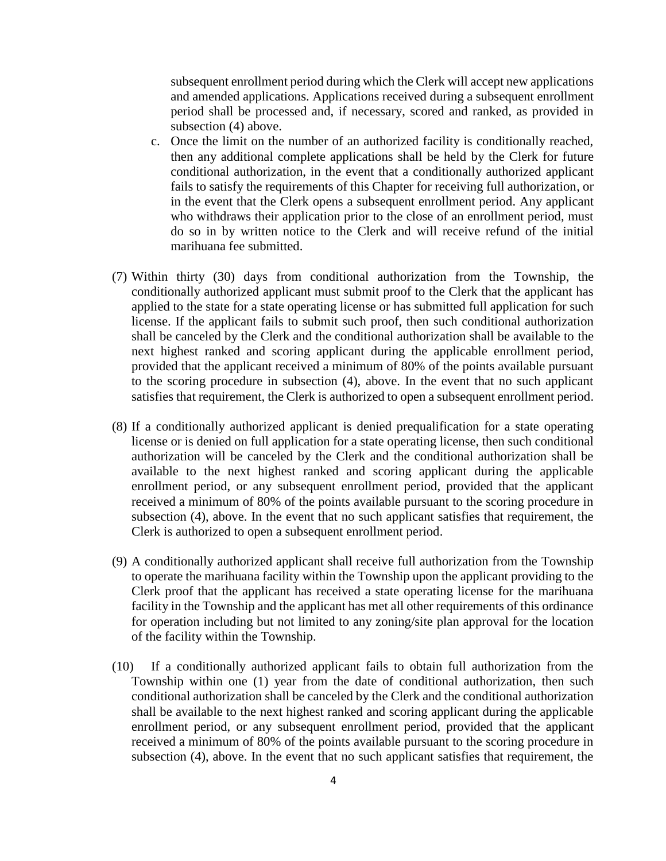subsequent enrollment period during which the Clerk will accept new applications and amended applications. Applications received during a subsequent enrollment period shall be processed and, if necessary, scored and ranked, as provided in subsection (4) above.

- c. Once the limit on the number of an authorized facility is conditionally reached, then any additional complete applications shall be held by the Clerk for future conditional authorization, in the event that a conditionally authorized applicant fails to satisfy the requirements of this Chapter for receiving full authorization, or in the event that the Clerk opens a subsequent enrollment period. Any applicant who withdraws their application prior to the close of an enrollment period, must do so in by written notice to the Clerk and will receive refund of the initial marihuana fee submitted.
- (7) Within thirty (30) days from conditional authorization from the Township, the conditionally authorized applicant must submit proof to the Clerk that the applicant has applied to the state for a state operating license or has submitted full application for such license. If the applicant fails to submit such proof, then such conditional authorization shall be canceled by the Clerk and the conditional authorization shall be available to the next highest ranked and scoring applicant during the applicable enrollment period, provided that the applicant received a minimum of 80% of the points available pursuant to the scoring procedure in subsection (4), above. In the event that no such applicant satisfies that requirement, the Clerk is authorized to open a subsequent enrollment period.
- (8) If a conditionally authorized applicant is denied prequalification for a state operating license or is denied on full application for a state operating license, then such conditional authorization will be canceled by the Clerk and the conditional authorization shall be available to the next highest ranked and scoring applicant during the applicable enrollment period, or any subsequent enrollment period, provided that the applicant received a minimum of 80% of the points available pursuant to the scoring procedure in subsection (4), above. In the event that no such applicant satisfies that requirement, the Clerk is authorized to open a subsequent enrollment period.
- (9) A conditionally authorized applicant shall receive full authorization from the Township to operate the marihuana facility within the Township upon the applicant providing to the Clerk proof that the applicant has received a state operating license for the marihuana facility in the Township and the applicant has met all other requirements of this ordinance for operation including but not limited to any zoning/site plan approval for the location of the facility within the Township.
- (10) If a conditionally authorized applicant fails to obtain full authorization from the Township within one (1) year from the date of conditional authorization, then such conditional authorization shall be canceled by the Clerk and the conditional authorization shall be available to the next highest ranked and scoring applicant during the applicable enrollment period, or any subsequent enrollment period, provided that the applicant received a minimum of 80% of the points available pursuant to the scoring procedure in subsection (4), above. In the event that no such applicant satisfies that requirement, the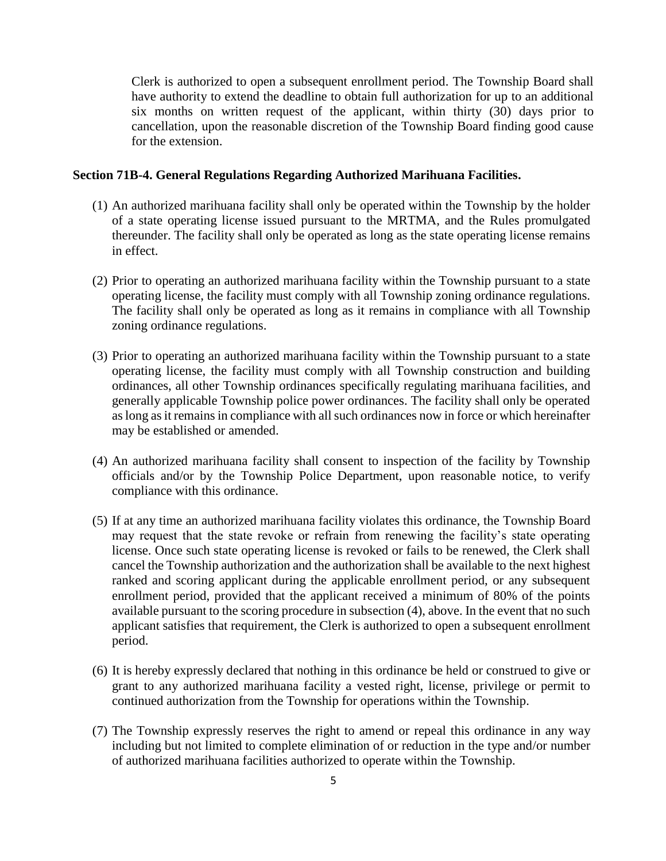Clerk is authorized to open a subsequent enrollment period. The Township Board shall have authority to extend the deadline to obtain full authorization for up to an additional six months on written request of the applicant, within thirty (30) days prior to cancellation, upon the reasonable discretion of the Township Board finding good cause for the extension.

### **Section 71B-4. General Regulations Regarding Authorized Marihuana Facilities.**

- (1) An authorized marihuana facility shall only be operated within the Township by the holder of a state operating license issued pursuant to the MRTMA, and the Rules promulgated thereunder. The facility shall only be operated as long as the state operating license remains in effect.
- (2) Prior to operating an authorized marihuana facility within the Township pursuant to a state operating license, the facility must comply with all Township zoning ordinance regulations. The facility shall only be operated as long as it remains in compliance with all Township zoning ordinance regulations.
- (3) Prior to operating an authorized marihuana facility within the Township pursuant to a state operating license, the facility must comply with all Township construction and building ordinances, all other Township ordinances specifically regulating marihuana facilities, and generally applicable Township police power ordinances. The facility shall only be operated as long as it remains in compliance with all such ordinances now in force or which hereinafter may be established or amended.
- (4) An authorized marihuana facility shall consent to inspection of the facility by Township officials and/or by the Township Police Department, upon reasonable notice, to verify compliance with this ordinance.
- (5) If at any time an authorized marihuana facility violates this ordinance, the Township Board may request that the state revoke or refrain from renewing the facility's state operating license. Once such state operating license is revoked or fails to be renewed, the Clerk shall cancel the Township authorization and the authorization shall be available to the next highest ranked and scoring applicant during the applicable enrollment period, or any subsequent enrollment period, provided that the applicant received a minimum of 80% of the points available pursuant to the scoring procedure in subsection (4), above. In the event that no such applicant satisfies that requirement, the Clerk is authorized to open a subsequent enrollment period.
- (6) It is hereby expressly declared that nothing in this ordinance be held or construed to give or grant to any authorized marihuana facility a vested right, license, privilege or permit to continued authorization from the Township for operations within the Township.
- (7) The Township expressly reserves the right to amend or repeal this ordinance in any way including but not limited to complete elimination of or reduction in the type and/or number of authorized marihuana facilities authorized to operate within the Township.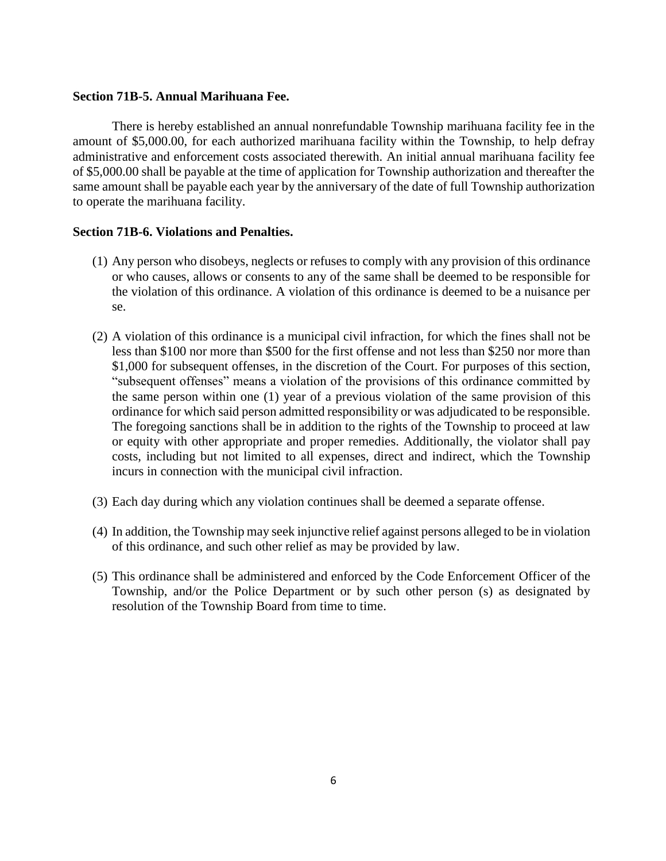### **Section 71B-5. Annual Marihuana Fee.**

There is hereby established an annual nonrefundable Township marihuana facility fee in the amount of \$5,000.00, for each authorized marihuana facility within the Township, to help defray administrative and enforcement costs associated therewith. An initial annual marihuana facility fee of \$5,000.00 shall be payable at the time of application for Township authorization and thereafter the same amount shall be payable each year by the anniversary of the date of full Township authorization to operate the marihuana facility.

## **Section 71B-6. Violations and Penalties.**

- (1) Any person who disobeys, neglects or refuses to comply with any provision of this ordinance or who causes, allows or consents to any of the same shall be deemed to be responsible for the violation of this ordinance. A violation of this ordinance is deemed to be a nuisance per se.
- (2) A violation of this ordinance is a municipal civil infraction, for which the fines shall not be less than \$100 nor more than \$500 for the first offense and not less than \$250 nor more than \$1,000 for subsequent offenses, in the discretion of the Court. For purposes of this section, "subsequent offenses" means a violation of the provisions of this ordinance committed by the same person within one (1) year of a previous violation of the same provision of this ordinance for which said person admitted responsibility or was adjudicated to be responsible. The foregoing sanctions shall be in addition to the rights of the Township to proceed at law or equity with other appropriate and proper remedies. Additionally, the violator shall pay costs, including but not limited to all expenses, direct and indirect, which the Township incurs in connection with the municipal civil infraction.
- (3) Each day during which any violation continues shall be deemed a separate offense.
- (4) In addition, the Township may seek injunctive relief against persons alleged to be in violation of this ordinance, and such other relief as may be provided by law.
- (5) This ordinance shall be administered and enforced by the Code Enforcement Officer of the Township, and/or the Police Department or by such other person (s) as designated by resolution of the Township Board from time to time.